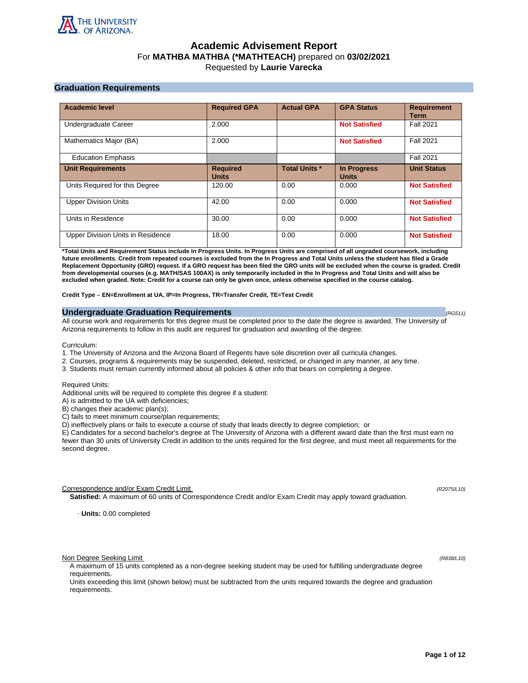

# **Academic Advisement Report** For **MATHBA MATHBA (\*MATHTEACH)** prepared on **03/02/2021** Requested by **Laurie Varecka**

# **Graduation Requirements**

| <b>Academic level</b>             | <b>Required GPA</b>             | <b>Actual GPA</b>    | <b>GPA Status</b>                  | <b>Requirement</b><br><b>Term</b> |
|-----------------------------------|---------------------------------|----------------------|------------------------------------|-----------------------------------|
| Undergraduate Career              | 2.000                           |                      | <b>Not Satisfied</b>               | <b>Fall 2021</b>                  |
| Mathematics Major (BA)            | 2.000                           |                      | <b>Not Satisfied</b>               | <b>Fall 2021</b>                  |
| <b>Education Emphasis</b>         |                                 |                      |                                    | <b>Fall 2021</b>                  |
| <b>Unit Requirements</b>          | <b>Required</b><br><b>Units</b> | <b>Total Units *</b> | <b>In Progress</b><br><b>Units</b> | <b>Unit Status</b>                |
| Units Required for this Degree    | 120.00                          | 0.00                 | 0.000                              | <b>Not Satisfied</b>              |
| <b>Upper Division Units</b>       | 42.00                           | 0.00                 | 0.000                              | <b>Not Satisfied</b>              |
| Units in Residence                | 30.00                           | 0.00                 | 0.000                              | <b>Not Satisfied</b>              |
| Upper Division Units in Residence | 18.00                           | 0.00                 | 0.000                              | <b>Not Satisfied</b>              |

**\*Total Units and Requirement Status include In Progress Units. In Progress Units are comprised of all ungraded coursework, including future enrollments. Credit from repeated courses is excluded from the In Progress and Total Units unless the student has filed a Grade Replacement Opportunity (GRO) request. If a GRO request has been filed the GRO units will be excluded when the course is graded. Credit from developmental courses (e.g. MATH/SAS 100AX) is only temporarily included in the In Progress and Total Units and will also be excluded when graded. Note: Credit for a course can only be given once, unless otherwise specified in the course catalog.**

**Credit Type** – **EN=Enrollment at UA, IP=In Progress, TR=Transfer Credit, TE=Test Credit**

## **Undergraduate Graduation Requirements (RG511) (RG511) (RG511) (RG511)**

All course work and requirements for this degree must be completed prior to the date the degree is awarded. The University of Arizona requirements to follow in this audit are required for graduation and awarding of the degree.

Curriculum:

- 1. The University of Arizona and the Arizona Board of Regents have sole discretion over all curricula changes.
- 2. Courses, programs & requirements may be suspended, deleted, restricted, or changed in any manner, at any time.
- 3. Students must remain currently informed about all policies & other info that bears on completing a degree.

Required Units:

Additional units will be required to complete this degree if a student:

A) is admitted to the UA with deficiencies;

B) changes their academic plan(s);

C) fails to meet minimum course/plan requirements;

D) ineffectively plans or fails to execute a course of study that leads directly to degree completion; or

E) Candidates for a second bachelor's degree at The University of Arizona with a different award date than the first must earn no fewer than 30 units of University Credit in addition to the units required for the first degree, and must meet all requirements for the second degree.

Correspondence and/or Exam Credit Limit (R2075/L10) (R2075/L10)

**Satisfied:** A maximum of 60 units of Correspondence Credit and/or Exam Credit may apply toward graduation.

· **Units:** 0.00 completed

Non Degree Seeking Limit (R838/L10)

A maximum of 15 units completed as a non-degree seeking student may be used for fulfilling undergraduate degree requirements.

Units exceeding this limit (shown below) must be subtracted from the units required towards the degree and graduation requirements.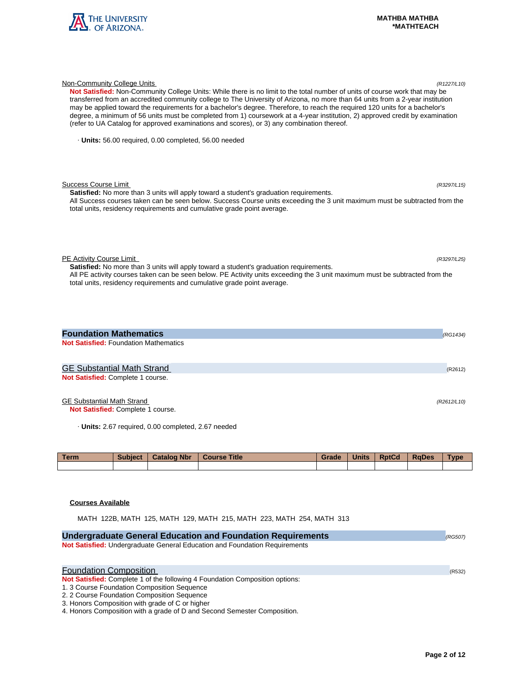

| Non-Community College Units                                                                                                                                                                                                                                                                                                                                                                                                                                                                                                                                                                                                 | (R1227/L10) |
|-----------------------------------------------------------------------------------------------------------------------------------------------------------------------------------------------------------------------------------------------------------------------------------------------------------------------------------------------------------------------------------------------------------------------------------------------------------------------------------------------------------------------------------------------------------------------------------------------------------------------------|-------------|
| Not Satisfied: Non-Community College Units: While there is no limit to the total number of units of course work that may be<br>transferred from an accredited community college to The University of Arizona, no more than 64 units from a 2-year institution<br>may be applied toward the requirements for a bachelor's degree. Therefore, to reach the required 120 units for a bachelor's<br>degree, a minimum of 56 units must be completed from 1) coursework at a 4-year institution, 2) approved credit by examination<br>(refer to UA Catalog for approved examinations and scores), or 3) any combination thereof. |             |
| · Units: 56.00 required, 0.00 completed, 56.00 needed                                                                                                                                                                                                                                                                                                                                                                                                                                                                                                                                                                       |             |
| <b>Success Course Limit</b><br><b>Satisfied:</b> No more than 3 units will apply toward a student's graduation requirements.<br>All Success courses taken can be seen below. Success Course units exceeding the 3 unit maximum must be subtracted from the<br>total units, residency requirements and cumulative grade point average.                                                                                                                                                                                                                                                                                       | (R3297/L15) |
| <b>PE Activity Course Limit</b><br><b>Satisfied:</b> No more than 3 units will apply toward a student's graduation requirements.<br>All PE activity courses taken can be seen below. PE Activity units exceeding the 3 unit maximum must be subtracted from the<br>total units, residency requirements and cumulative grade point average.                                                                                                                                                                                                                                                                                  | (R3297/L25) |
| <b>Foundation Mathematics</b>                                                                                                                                                                                                                                                                                                                                                                                                                                                                                                                                                                                               | (RG1434)    |
| <b>Not Satisfied: Foundation Mathematics</b>                                                                                                                                                                                                                                                                                                                                                                                                                                                                                                                                                                                |             |
| <b>GE Substantial Math Strand</b>                                                                                                                                                                                                                                                                                                                                                                                                                                                                                                                                                                                           | (R2612)     |
| Not Satisfied: Complete 1 course.                                                                                                                                                                                                                                                                                                                                                                                                                                                                                                                                                                                           |             |

# GE Substantial Math Strand (R2612/L10)

**Not Satisfied:** Complete 1 course.

· **Units:** 2.67 required, 0.00 completed, 2.67 needed

| <b>Term</b> | <b>Subject</b> | <b>Catalog Nbr</b> | <b>Course Title</b> | Grade | <b>Units</b> | <b>RptCd</b> | <b>RaDes</b> | <b>Type</b> |
|-------------|----------------|--------------------|---------------------|-------|--------------|--------------|--------------|-------------|
|             |                |                    |                     |       |              |              |              |             |

# **Courses Available**

MATH 122B, MATH 125, MATH 129, MATH 215, MATH 223, MATH 254, MATH 313

| <b>Undergraduate General Education and Foundation Requirements</b><br>(RG507) |        |  |  |  |
|-------------------------------------------------------------------------------|--------|--|--|--|
| Not Satisfied: Undergraduate General Education and Foundation Requirements    |        |  |  |  |
|                                                                               |        |  |  |  |
| <b>Foundation Composition</b>                                                 | (R532) |  |  |  |
| Not Satisfied: Complete 1 of the following 4 Foundation Composition options:  |        |  |  |  |
| 1.3 Course Foundation Composition Sequence                                    |        |  |  |  |
| 2. 2 Course Foundation Composition Sequence                                   |        |  |  |  |
| 3. Honors Composition with grade of C or higher                               |        |  |  |  |
| 4. Honors Composition with a grade of D and Second Semester Composition.      |        |  |  |  |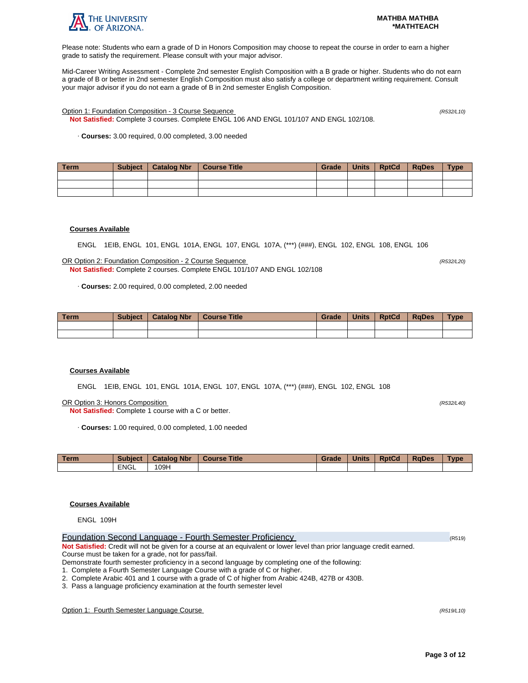

Please note: Students who earn a grade of D in Honors Composition may choose to repeat the course in order to earn a higher grade to satisfy the requirement. Please consult with your major advisor.

Mid-Career Writing Assessment - Complete 2nd semester English Composition with a B grade or higher. Students who do not earn a grade of B or better in 2nd semester English Composition must also satisfy a college or department writing requirement. Consult your major advisor if you do not earn a grade of B in 2nd semester English Composition.

Option 1: Foundation Composition - 3 Course Sequence (R532/L10)

**Not Satisfied:** Complete 3 courses. Complete ENGL 106 AND ENGL 101/107 AND ENGL 102/108.

· **Courses:** 3.00 required, 0.00 completed, 3.00 needed

| Term | <b>Subject</b> | Catalog Nbr | Course Title | Grade | Units | <b>RptCd</b> | <b>RaDes</b> | <b>Type</b> |
|------|----------------|-------------|--------------|-------|-------|--------------|--------------|-------------|
|      |                |             |              |       |       |              |              |             |
|      |                |             |              |       |       |              |              |             |
|      |                |             |              |       |       |              |              |             |

# **Courses Available**

ENGL 1EIB, ENGL 101, ENGL 101A, ENGL 107, ENGL 107A, (\*\*\*) (###), ENGL 102, ENGL 108, ENGL 106

OR Option 2: Foundation Composition - 2 Course Sequence (R532/L20) **Not Satisfied:** Complete 2 courses. Complete ENGL 101/107 AND ENGL 102/108

· **Courses:** 2.00 required, 0.00 completed, 2.00 needed

| Term | <b>Subject</b> | <b>Catalog Nbr</b> | <b>Course Title</b> | Grade | <b>Units</b> | <b>RptCd</b> | <b>RaDes</b> | <b>Type</b> |
|------|----------------|--------------------|---------------------|-------|--------------|--------------|--------------|-------------|
|      |                |                    |                     |       |              |              |              |             |
|      |                |                    |                     |       |              |              |              |             |

## **Courses Available**

ENGL 1EIB, ENGL 101, ENGL 101A, ENGL 107, ENGL 107A, (\*\*\*) (###), ENGL 102, ENGL 108

OR Option 3: Honors Composition (R532/L40)

**Not Satisfied:** Complete 1 course with a C or better.

· **Courses:** 1.00 required, 0.00 completed, 1.00 needed

| <b>Term</b> | <b>Subject</b> | <b>Catalog Nbr</b> | <b>Title</b><br><b>Course</b> | Grade | <b>Units</b> | <b>RptCd</b> | <b>RaDes</b> | <b>Type</b> |
|-------------|----------------|--------------------|-------------------------------|-------|--------------|--------------|--------------|-------------|
|             | <b>ENGL</b>    | 09H                |                               |       |              |              |              |             |

# **Courses Available**

ENGL 109H

| Foundation Second Language - Fourth Semester Proficiency                                                                | (R519) |
|-------------------------------------------------------------------------------------------------------------------------|--------|
| Not Satisfied: Credit will not be given for a course at an equivalent or lower level than prior language credit earned. |        |
| Course must be taken for a grade, not for pass/fail.                                                                    |        |
| Demonstrate fourth semester proficiency in a second language by completing one of the following:                        |        |

1. Complete a Fourth Semester Language Course with a grade of C or higher.

2. Complete Arabic 401 and 1 course with a grade of C of higher from Arabic 424B, 427B or 430B.

3. Pass a language proficiency examination at the fourth semester level

Option 1: Fourth Semester Language Course (R519/L10)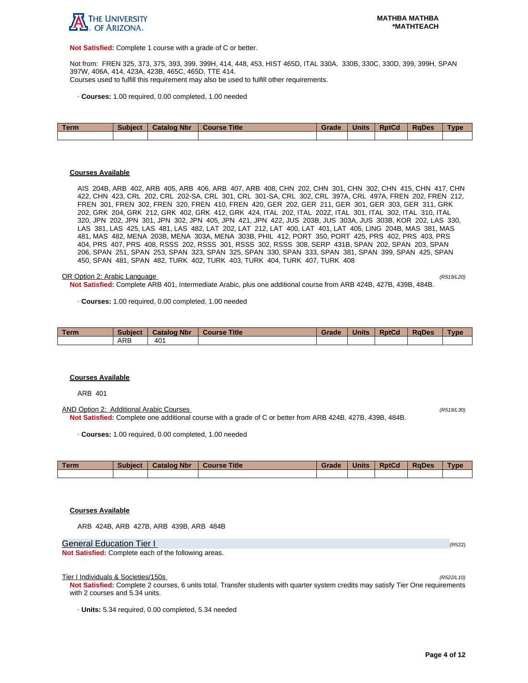

**Not Satisfied:** Complete 1 course with a grade of C or better.

Not from: FREN 325, 373, 375, 393, 399, 399H, 414, 448, 453, HIST 465D, ITAL 330A, 330B, 330C, 330D, 399, 399H, SPAN 397W, 406A, 414, 423A, 423B, 465C, 465D, TTE 414. Courses used to fulfill this requirement may also be used to fulfill other requirements.

· **Courses:** 1.00 required, 0.00 completed, 1.00 needed

| Term | <b>Subject</b> | <b>Catalog Nbr</b> | Course Title | Grade | <b>Units</b> | <b>RptCd</b> | <b>RaDes</b> | <b>Type</b> |
|------|----------------|--------------------|--------------|-------|--------------|--------------|--------------|-------------|
|      |                |                    |              |       |              |              |              |             |

#### **Courses Available**

AIS 204B, ARB 402, ARB 405, ARB 406, ARB 407, ARB 408, CHN 202, CHN 301, CHN 302, CHN 415, CHN 417, CHN 422, CHN 423, CRL 202, CRL 202-SA, CRL 301, CRL 301-SA, CRL 302, CRL 397A, CRL 497A, FREN 202, FREN 212, FREN 301, FREN 302, FREN 320, FREN 410, FREN 420, GER 202, GER 211, GER 301, GER 303, GER 311, GRK 202, GRK 204, GRK 212, GRK 402, GRK 412, GRK 424, ITAL 202, ITAL 202Z, ITAL 301, ITAL 302, ITAL 310, ITAL 320, JPN 202, JPN 301, JPN 302, JPN 405, JPN 421, JPN 422, JUS 203B, JUS 303A, JUS 303B, KOR 202, LAS 330, LAS 381, LAS 425, LAS 481, LAS 482, LAT 202, LAT 212, LAT 400, LAT 401, LAT 405, LING 204B, MAS 381, MAS 481, MAS 482, MENA 203B, MENA 303A, MENA 303B, PHIL 412, PORT 350, PORT 425, PRS 402, PRS 403, PRS 404, PRS 407, PRS 408, RSSS 202, RSSS 301, RSSS 302, RSSS 308, SERP 431B, SPAN 202, SPAN 203, SPAN 206, SPAN 251, SPAN 253, SPAN 323, SPAN 325, SPAN 330, SPAN 333, SPAN 381, SPAN 399, SPAN 425, SPAN 450, SPAN 481, SPAN 482, TURK 402, TURK 403, TURK 404, TURK 407, TURK 408

#### OR Option 2: Arabic Language (R519/L20)

**Not Satisfied:** Complete ARB 401, Intermediate Arabic, plus one additional course from ARB 424B, 427B, 439B, 484B.

· **Courses:** 1.00 required, 0.00 completed, 1.00 needed

| Term | <b>Subject</b> | <b>Catalog Nbr</b> | <b>Course Title</b> | Grade | <b>Units</b> | <b>RptCd</b> | <b>RaDes</b> | <b>Type</b> |
|------|----------------|--------------------|---------------------|-------|--------------|--------------|--------------|-------------|
|      | ARB            | 40 <sup>1</sup>    |                     |       |              |              |              |             |

#### **Courses Available**

ARB 401

AND Option 2: Additional Arabic Courses (R519/L30) **Not Satisfied:** Complete one additional course with a grade of C or better from ARB 424B, 427B, 439B, 484B.

· **Courses:** 1.00 required, 0.00 completed, 1.00 needed

| Term | <b>Subject</b> | <b>Catalog Nbr</b> | Course Title | Grade | <b>Units</b> | <b>RptCd</b> | <b>RaDes</b> | Type |
|------|----------------|--------------------|--------------|-------|--------------|--------------|--------------|------|
|      |                |                    |              |       |              |              |              |      |

# **Courses Available**

ARB 424B, ARB 427B, ARB 439B, ARB 484B

General Education Tier I (R522) (R522)

**Not Satisfied:** Complete each of the following areas.

Tier I Individuals & Societies/150s

**Not Satisfied:** Complete 2 courses, 6 units total. Transfer students with quarter system credits may satisfy Tier One requirements with 2 courses and 5.34 units.

· **Units:** 5.34 required, 0.00 completed, 5.34 needed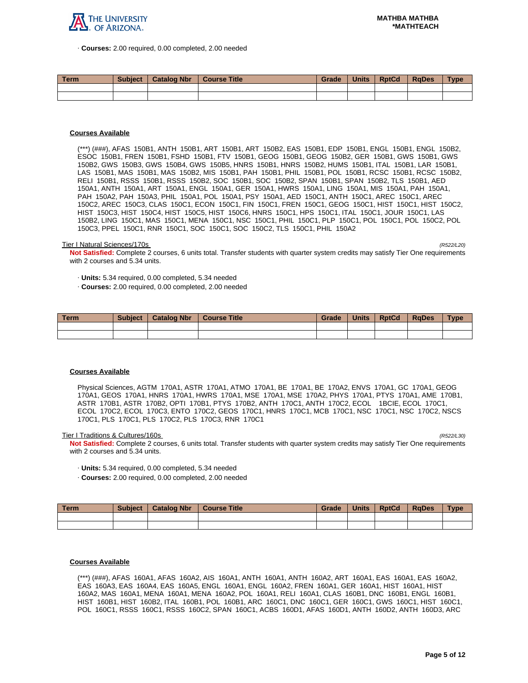

· **Courses:** 2.00 required, 0.00 completed, 2.00 needed

| <b>Term</b> | <b>Subject</b> | <b>Catalog Nbr</b> | <b>Course Title</b> | Grade | <b>Units</b> | <b>RptCd</b> | <b>RaDes</b> | Type |
|-------------|----------------|--------------------|---------------------|-------|--------------|--------------|--------------|------|
|             |                |                    |                     |       |              |              |              |      |
|             |                |                    |                     |       |              |              |              |      |

# **Courses Available**

(\*\*\*) (###), AFAS 150B1, ANTH 150B1, ART 150B1, ART 150B2, EAS 150B1, EDP 150B1, ENGL 150B1, ENGL 150B2, ESOC 150B1, FREN 150B1, FSHD 150B1, FTV 150B1, GEOG 150B1, GEOG 150B2, GER 150B1, GWS 150B1, GWS 150B2, GWS 150B3, GWS 150B4, GWS 150B5, HNRS 150B1, HNRS 150B2, HUMS 150B1, ITAL 150B1, LAR 150B1, LAS 150B1, MAS 150B1, MAS 150B2, MIS 150B1, PAH 150B1, PHIL 150B1, POL 150B1, RCSC 150B1, RCSC 150B2, RELI 150B1, RSSS 150B1, RSSS 150B2, SOC 150B1, SOC 150B2, SPAN 150B1, SPAN 150B2, TLS 150B1, AED 150A1, ANTH 150A1, ART 150A1, ENGL 150A1, GER 150A1, HWRS 150A1, LING 150A1, MIS 150A1, PAH 150A1, PAH 150A2, PAH 150A3, PHIL 150A1, POL 150A1, PSY 150A1, AED 150C1, ANTH 150C1, AREC 150C1, AREC 150C2, AREC 150C3, CLAS 150C1, ECON 150C1, FIN 150C1, FREN 150C1, GEOG 150C1, HIST 150C1, HIST 150C2, HIST 150C3, HIST 150C4, HIST 150C5, HIST 150C6, HNRS 150C1, HPS 150C1, ITAL 150C1, JOUR 150C1, LAS 150B2, LING 150C1, MAS 150C1, MENA 150C1, NSC 150C1, PHIL 150C1, PLP 150C1, POL 150C1, POL 150C2, POL 150C3, PPEL 150C1, RNR 150C1, SOC 150C1, SOC 150C2, TLS 150C1, PHIL 150A2

#### Tier I Natural Sciences/170s (R522/L20)

**Not Satisfied:** Complete 2 courses, 6 units total. Transfer students with quarter system credits may satisfy Tier One requirements with 2 courses and 5.34 units.

· **Units:** 5.34 required, 0.00 completed, 5.34 needed

· **Courses:** 2.00 required, 0.00 completed, 2.00 needed

| Term | <b>Subject</b> | <b>Catalog Nbr</b> | <b>Course Title</b> | Grade | <b>Units</b> | <b>RptCd</b> | <b>RaDes</b> | <b>Type</b> |
|------|----------------|--------------------|---------------------|-------|--------------|--------------|--------------|-------------|
|      |                |                    |                     |       |              |              |              |             |
|      |                |                    |                     |       |              |              |              |             |

#### **Courses Available**

Physical Sciences, AGTM 170A1, ASTR 170A1, ATMO 170A1, BE 170A1, BE 170A2, ENVS 170A1, GC 170A1, GEOG 170A1, GEOS 170A1, HNRS 170A1, HWRS 170A1, MSE 170A1, MSE 170A2, PHYS 170A1, PTYS 170A1, AME 170B1, ASTR 170B1, ASTR 170B2, OPTI 170B1, PTYS 170B2, ANTH 170C1, ANTH 170C2, ECOL 1BCIE, ECOL 170C1, ECOL 170C2, ECOL 170C3, ENTO 170C2, GEOS 170C1, HNRS 170C1, MCB 170C1, NSC 170C1, NSC 170C2, NSCS 170C1, PLS 170C1, PLS 170C2, PLS 170C3, RNR 170C1

Tier I Traditions & Cultures/160s

**Not Satisfied:** Complete 2 courses, 6 units total. Transfer students with quarter system credits may satisfy Tier One requirements with 2 courses and 5.34 units.

- · **Units:** 5.34 required, 0.00 completed, 5.34 needed
- · **Courses:** 2.00 required, 0.00 completed, 2.00 needed

| <b>Term</b> | <b>Subject</b> | <b>Catalog Nbr</b> | Course Title | <b>Grade</b> | <b>Units</b> | <b>RptCd</b> | RaDes | <b>Type</b> |
|-------------|----------------|--------------------|--------------|--------------|--------------|--------------|-------|-------------|
|             |                |                    |              |              |              |              |       |             |
|             |                |                    |              |              |              |              |       |             |

#### **Courses Available**

(\*\*\*) (###), AFAS 160A1, AFAS 160A2, AIS 160A1, ANTH 160A1, ANTH 160A2, ART 160A1, EAS 160A1, EAS 160A2, EAS 160A3, EAS 160A4, EAS 160A5, ENGL 160A1, ENGL 160A2, FREN 160A1, GER 160A1, HIST 160A1, HIST 160A2, MAS 160A1, MENA 160A1, MENA 160A2, POL 160A1, RELI 160A1, CLAS 160B1, DNC 160B1, ENGL 160B1, HIST 160B1, HIST 160B2, ITAL 160B1, POL 160B1, ARC 160C1, DNC 160C1, GER 160C1, GWS 160C1, HIST 160C1, POL 160C1, RSSS 160C1, RSSS 160C2, SPAN 160C1, ACBS 160D1, AFAS 160D1, ANTH 160D2, ANTH 160D3, ARC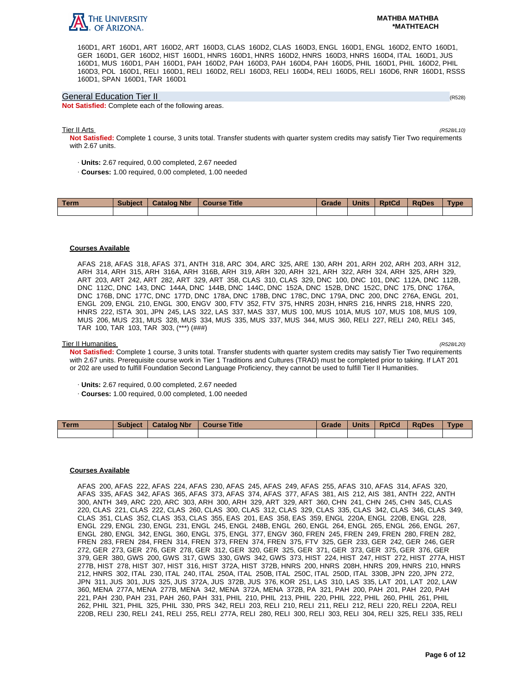

#### **MATHBA MATHBA \*MATHTEACH**

160D1, ART 160D1, ART 160D2, ART 160D3, CLAS 160D2, CLAS 160D3, ENGL 160D1, ENGL 160D2, ENTO 160D1, GER 160D1, GER 160D2, HIST 160D1, HNRS 160D1, HNRS 160D2, HNRS 160D3, HNRS 160D4, ITAL 160D1, JUS 160D1, MUS 160D1, PAH 160D1, PAH 160D2, PAH 160D3, PAH 160D4, PAH 160D5, PHIL 160D1, PHIL 160D2, PHIL 160D3, POL 160D1, RELI 160D1, RELI 160D2, RELI 160D3, RELI 160D4, RELI 160D5, RELI 160D6, RNR 160D1, RSSS 160D1, SPAN 160D1, TAR 160D1

## General Education Tier II (R528)

**Not Satisfied:** Complete each of the following areas.

## Tier II Arts (R528/L10)

**Not Satisfied:** Complete 1 course, 3 units total. Transfer students with quarter system credits may satisfy Tier Two requirements with 2.67 units.

- · **Units:** 2.67 required, 0.00 completed, 2.67 needed
- · **Courses:** 1.00 required, 0.00 completed, 1.00 needed

| Term | <b>Subject</b> | <b>Catalog Nbr</b> | <b>Course Title</b> | Grade | <b>Units</b> | <b>RptCd</b> | <b>RaDes</b> | <b>Type</b> |
|------|----------------|--------------------|---------------------|-------|--------------|--------------|--------------|-------------|
|      |                |                    |                     |       |              |              |              |             |

# **Courses Available**

AFAS 218, AFAS 318, AFAS 371, ANTH 318, ARC 304, ARC 325, ARE 130, ARH 201, ARH 202, ARH 203, ARH 312, ARH 314, ARH 315, ARH 316A, ARH 316B, ARH 319, ARH 320, ARH 321, ARH 322, ARH 324, ARH 325, ARH 329, ART 203, ART 242, ART 282, ART 329, ART 358, CLAS 310, CLAS 329, DNC 100, DNC 101, DNC 112A, DNC 112B, DNC 112C, DNC 143, DNC 144A, DNC 144B, DNC 144C, DNC 152A, DNC 152B, DNC 152C, DNC 175, DNC 176A, DNC 176B, DNC 177C, DNC 177D, DNC 178A, DNC 178B, DNC 178C, DNC 179A, DNC 200, DNC 276A, ENGL 201, ENGL 209, ENGL 210, ENGL 300, ENGV 300, FTV 352, FTV 375, HNRS 203H, HNRS 216, HNRS 218, HNRS 220, HNRS 222, ISTA 301, JPN 245, LAS 322, LAS 337, MAS 337, MUS 100, MUS 101A, MUS 107, MUS 108, MUS 109, MUS 206, MUS 231, MUS 328, MUS 334, MUS 335, MUS 337, MUS 344, MUS 360, RELI 227, RELI 240, RELI 345, TAR 100, TAR 103, TAR 303, (\*\*\*) (###)

## Tier II Humanities (R528/L20)

**Not Satisfied:** Complete 1 course, 3 units total. Transfer students with quarter system credits may satisfy Tier Two requirements with 2.67 units. Prerequisite course work in Tier 1 Traditions and Cultures (TRAD) must be completed prior to taking. If LAT 201 or 202 are used to fulfill Foundation Second Language Proficiency, they cannot be used to fulfill Tier II Humanities.

- · **Units:** 2.67 required, 0.00 completed, 2.67 needed
- · **Courses:** 1.00 required, 0.00 completed, 1.00 needed

| <b>Term</b> | <b>Subject</b> | <b>Catalog Nbr</b> | <b>Course Title</b> | Grade | <b>Units</b> | <b>RptCd</b> | <b>RaDes</b> | Type |
|-------------|----------------|--------------------|---------------------|-------|--------------|--------------|--------------|------|
|             |                |                    |                     |       |              |              |              |      |

#### **Courses Available**

AFAS 200, AFAS 222, AFAS 224, AFAS 230, AFAS 245, AFAS 249, AFAS 255, AFAS 310, AFAS 314, AFAS 320, AFAS 335, AFAS 342, AFAS 365, AFAS 373, AFAS 374, AFAS 377, AFAS 381, AIS 212, AIS 381, ANTH 222, ANTH 300, ANTH 349, ARC 220, ARC 303, ARH 300, ARH 329, ART 329, ART 360, CHN 241, CHN 245, CHN 345, CLAS 220, CLAS 221, CLAS 222, CLAS 260, CLAS 300, CLAS 312, CLAS 329, CLAS 335, CLAS 342, CLAS 346, CLAS 349, CLAS 351, CLAS 352, CLAS 353, CLAS 355, EAS 201, EAS 358, EAS 359, ENGL 220A, ENGL 220B, ENGL 228, ENGL 229, ENGL 230, ENGL 231, ENGL 245, ENGL 248B, ENGL 260, ENGL 264, ENGL 265, ENGL 266, ENGL 267, ENGL 280, ENGL 342, ENGL 360, ENGL 375, ENGL 377, ENGV 360, FREN 245, FREN 249, FREN 280, FREN 282, FREN 283, FREN 284, FREN 314, FREN 373, FREN 374, FREN 375, FTV 325, GER 233, GER 242, GER 246, GER 272, GER 273, GER 276, GER 278, GER 312, GER 320, GER 325, GER 371, GER 373, GER 375, GER 376, GER 379, GER 380, GWS 200, GWS 317, GWS 330, GWS 342, GWS 373, HIST 224, HIST 247, HIST 272, HIST 277A, HIST 277B, HIST 278, HIST 307, HIST 316, HIST 372A, HIST 372B, HNRS 200, HNRS 208H, HNRS 209, HNRS 210, HNRS 212, HNRS 302, ITAL 230, ITAL 240, ITAL 250A, ITAL 250B, ITAL 250C, ITAL 250D, ITAL 330B, JPN 220, JPN 272, JPN 311, JUS 301, JUS 325, JUS 372A, JUS 372B, JUS 376, KOR 251, LAS 310, LAS 335, LAT 201, LAT 202, LAW 360, MENA 277A, MENA 277B, MENA 342, MENA 372A, MENA 372B, PA 321, PAH 200, PAH 201, PAH 220, PAH 221, PAH 230, PAH 231, PAH 260, PAH 331, PHIL 210, PHIL 213, PHIL 220, PHIL 222, PHIL 260, PHIL 261, PHIL 262, PHIL 321, PHIL 325, PHIL 330, PRS 342, RELI 203, RELI 210, RELI 211, RELI 212, RELI 220, RELI 220A, RELI 220B, RELI 230, RELI 241, RELI 255, RELI 277A, RELI 280, RELI 300, RELI 303, RELI 304, RELI 325, RELI 335, RELI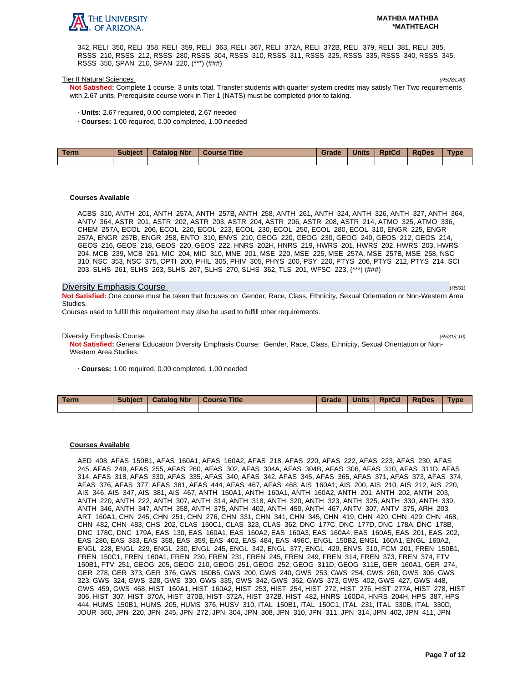

342, RELI 350, RELI 358, RELI 359, RELI 363, RELI 367, RELI 372A, RELI 372B, RELI 379, RELI 381, RELI 385, RSSS 210, RSSS 212, RSSS 280, RSSS 304, RSSS 310, RSSS 311, RSSS 325, RSSS 335, RSSS 340, RSSS 345, RSSS 350, SPAN 210, SPAN 220, (\*\*\*) (###)

#### Tier II Natural Sciences (R528/L40)

**Not Satisfied:** Complete 1 course, 3 units total. Transfer students with quarter system credits may satisfy Tier Two requirements with 2.67 units. Prerequisite course work in Tier 1 (NATS) must be completed prior to taking.

- · **Units:** 2.67 required, 0.00 completed, 2.67 needed
- · **Courses:** 1.00 required, 0.00 completed, 1.00 needed

| Term | Subject   Catalog Nbr | Course Title | Grade | <b>Units</b> | <b>RptCd</b> | RaDes | <b>Type</b> |
|------|-----------------------|--------------|-------|--------------|--------------|-------|-------------|
|      |                       |              |       |              |              |       |             |

### **Courses Available**

ACBS 310, ANTH 201, ANTH 257A, ANTH 257B, ANTH 258, ANTH 261, ANTH 324, ANTH 326, ANTH 327, ANTH 364, ANTV 364, ASTR 201, ASTR 202, ASTR 203, ASTR 204, ASTR 206, ASTR 208, ASTR 214, ATMO 325, ATMO 336, CHEM 257A, ECOL 206, ECOL 220, ECOL 223, ECOL 230, ECOL 250, ECOL 280, ECOL 310, ENGR 225, ENGR 257A, ENGR 257B, ENGR 258, ENTO 310, ENVS 210, GEOG 220, GEOG 230, GEOG 240, GEOS 212, GEOS 214, GEOS 216, GEOS 218, GEOS 220, GEOS 222, HNRS 202H, HNRS 219, HWRS 201, HWRS 202, HWRS 203, HWRS 204, MCB 239, MCB 261, MIC 204, MIC 310, MNE 201, MSE 220, MSE 225, MSE 257A, MSE 257B, MSE 258, NSC 310, NSC 353, NSC 375, OPTI 200, PHIL 305, PHIV 305, PHYS 200, PSY 220, PTYS 206, PTYS 212, PTYS 214, SCI 203, SLHS 261, SLHS 263, SLHS 267, SLHS 270, SLHS 362, TLS 201, WFSC 223, (\*\*\*) (###)

# Diversity Emphasis Course (R531)

**Not Satisfied:** One course must be taken that focuses on Gender, Race, Class, Ethnicity, Sexual Orientation or Non-Western Area Studies.

Courses used to fulfill this requirement may also be used to fulfill other requirements.

**Diversity Emphasis Course** (R531/L10)

**Not Satisfied:** General Education Diversity Emphasis Course: Gender, Race, Class, Ethnicity, Sexual Orientation or Non-Western Area Studies.

· **Courses:** 1.00 required, 0.00 completed, 1.00 needed

| <b>Term</b> | Subject | <b>Catalog Nbr</b> | <b>Course Title</b> | Grade | <b>Units</b> | <b>RptCd</b> | <b>RaDes</b> | <b>Type</b> |
|-------------|---------|--------------------|---------------------|-------|--------------|--------------|--------------|-------------|
|             |         |                    |                     |       |              |              |              |             |

#### **Courses Available**

AED 408, AFAS 150B1, AFAS 160A1, AFAS 160A2, AFAS 218, AFAS 220, AFAS 222, AFAS 223, AFAS 230, AFAS 245, AFAS 249, AFAS 255, AFAS 260, AFAS 302, AFAS 304A, AFAS 304B, AFAS 306, AFAS 310, AFAS 311D, AFAS 314, AFAS 318, AFAS 330, AFAS 335, AFAS 340, AFAS 342, AFAS 345, AFAS 365, AFAS 371, AFAS 373, AFAS 374, AFAS 376, AFAS 377, AFAS 381, AFAS 444, AFAS 467, AFAS 468, AIS 160A1, AIS 200, AIS 210, AIS 212, AIS 220, AIS 346, AIS 347, AIS 381, AIS 467, ANTH 150A1, ANTH 160A1, ANTH 160A2, ANTH 201, ANTH 202, ANTH 203, ANTH 220, ANTH 222, ANTH 307, ANTH 314, ANTH 318, ANTH 320, ANTH 323, ANTH 325, ANTH 330, ANTH 339, ANTH 346, ANTH 347, ANTH 358, ANTH 375, ANTH 402, ANTH 450, ANTH 467, ANTV 307, ANTV 375, ARH 203, ART 160A1, CHN 245, CHN 251, CHN 276, CHN 331, CHN 341, CHN 345, CHN 419, CHN 420, CHN 429, CHN 468, CHN 482, CHN 483, CHS 202, CLAS 150C1, CLAS 323, CLAS 362, DNC 177C, DNC 177D, DNC 178A, DNC 178B, DNC 178C, DNC 179A, EAS 130, EAS 160A1, EAS 160A2, EAS 160A3, EAS 160A4, EAS 160A5, EAS 201, EAS 202, EAS 280, EAS 333, EAS 358, EAS 359, EAS 402, EAS 484, EAS 496C, ENGL 150B2, ENGL 160A1, ENGL 160A2, ENGL 228, ENGL 229, ENGL 230, ENGL 245, ENGL 342, ENGL 377, ENGL 429, ENVS 310, FCM 201, FREN 150B1, FREN 150C1, FREN 160A1, FREN 230, FREN 231, FREN 245, FREN 249, FREN 314, FREN 373, FREN 374, FTV 150B1, FTV 251, GEOG 205, GEOG 210, GEOG 251, GEOG 252, GEOG 311D, GEOG 311E, GER 160A1, GER 274, GER 278, GER 373, GER 376, GWS 150B5, GWS 200, GWS 240, GWS 253, GWS 254, GWS 260, GWS 306, GWS 323, GWS 324, GWS 328, GWS 330, GWS 335, GWS 342, GWS 362, GWS 373, GWS 402, GWS 427, GWS 448, GWS 459, GWS 468, HIST 160A1, HIST 160A2, HIST 253, HIST 254, HIST 272, HIST 276, HIST 277A, HIST 278, HIST 306, HIST 307, HIST 370A, HIST 370B, HIST 372A, HIST 372B, HIST 482, HNRS 160D4, HNRS 204H, HPS 387, HPS 444, HUMS 150B1, HUMS 205, HUMS 376, HUSV 310, ITAL 150B1, ITAL 150C1, ITAL 231, ITAL 330B, ITAL 330D, JOUR 360, JPN 220, JPN 245, JPN 272, JPN 304, JPN 308, JPN 310, JPN 311, JPN 314, JPN 402, JPN 411, JPN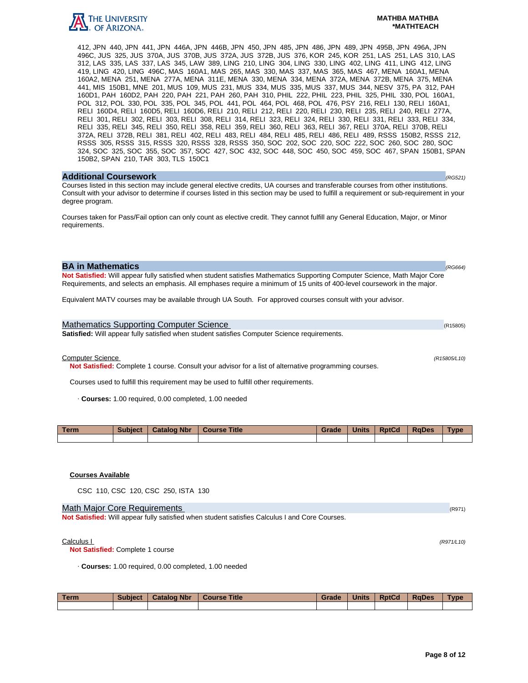

# **MATHBA MATHBA \*MATHTEACH**

412, JPN 440, JPN 441, JPN 446A, JPN 446B, JPN 450, JPN 485, JPN 486, JPN 489, JPN 495B, JPN 496A, JPN 496C, JUS 325, JUS 370A, JUS 370B, JUS 372A, JUS 372B, JUS 376, KOR 245, KOR 251, LAS 251, LAS 310, LAS 312, LAS 335, LAS 337, LAS 345, LAW 389, LING 210, LING 304, LING 330, LING 402, LING 411, LING 412, LING 419, LING 420, LING 496C, MAS 160A1, MAS 265, MAS 330, MAS 337, MAS 365, MAS 467, MENA 160A1, MENA 160A2, MENA 251, MENA 277A, MENA 311E, MENA 330, MENA 334, MENA 372A, MENA 372B, MENA 375, MENA 441, MIS 150B1, MNE 201, MUS 109, MUS 231, MUS 334, MUS 335, MUS 337, MUS 344, NESV 375, PA 312, PAH 160D1, PAH 160D2, PAH 220, PAH 221, PAH 260, PAH 310, PHIL 222, PHIL 223, PHIL 325, PHIL 330, POL 160A1, POL 312, POL 330, POL 335, POL 345, POL 441, POL 464, POL 468, POL 476, PSY 216, RELI 130, RELI 160A1, RELI 160D4, RELI 160D5, RELI 160D6, RELI 210, RELI 212, RELI 220, RELI 230, RELI 235, RELI 240, RELI 277A, RELI 301, RELI 302, RELI 303, RELI 308, RELI 314, RELI 323, RELI 324, RELI 330, RELI 331, RELI 333, RELI 334, RELI 335, RELI 345, RELI 350, RELI 358, RELI 359, RELI 360, RELI 363, RELI 367, RELI 370A, RELI 370B, RELI 372A, RELI 372B, RELI 381, RELI 402, RELI 483, RELI 484, RELI 485, RELI 486, RELI 489, RSSS 150B2, RSSS 212, RSSS 305, RSSS 315, RSSS 320, RSSS 328, RSSS 350, SOC 202, SOC 220, SOC 222, SOC 260, SOC 280, SOC 324, SOC 325, SOC 355, SOC 357, SOC 427, SOC 432, SOC 448, SOC 450, SOC 459, SOC 467, SPAN 150B1, SPAN 150B2, SPAN 210, TAR 303, TLS 150C1

# **Additional Coursework** (RG521)

Courses listed in this section may include general elective credits, UA courses and transferable courses from other institutions. Consult with your advisor to determine if courses listed in this section may be used to fulfill a requirement or sub-requirement in your degree program.

Courses taken for Pass/Fail option can only count as elective credit. They cannot fulfill any General Education, Major, or Minor requirements.

# **BA in Mathematics**  $(RC664)$

**Not Satisfied:** Will appear fully satisfied when student satisfies Mathematics Supporting Computer Science, Math Major Core Requirements, and selects an emphasis. All emphases require a minimum of 15 units of 400-level coursework in the major.

Equivalent MATV courses may be available through UA South. For approved courses consult with your advisor.

# Mathematics Supporting Computer Science (RNS) and RNS and RNS and RNS and RNS and RNS and RNS and RNS and RNS and RNS and RNS and RNS and RNS and RNS and RNS and RNS and RNS and RNS and RNS and RNS and RNS and RNS and RNS

**Satisfied:** Will appear fully satisfied when student satisfies Computer Science requirements.

Computer Science (R15805/L10)

**Not Satisfied:** Complete 1 course. Consult your advisor for a list of alternative programming courses.

Courses used to fulfill this requirement may be used to fulfill other requirements.

· **Courses:** 1.00 required, 0.00 completed, 1.00 needed

| Term | <b>Subject</b> | <b>Catalog Nbr</b> | <b>Title</b><br><b>Course</b> | Grade | <b>Units</b> | <b>RptCd</b> | <b>RaDes</b> | Гуре |
|------|----------------|--------------------|-------------------------------|-------|--------------|--------------|--------------|------|
|      |                |                    |                               |       |              |              |              |      |

# **Courses Available**

CSC 110, CSC 120, CSC 250, ISTA 130

# Math Major Core Requirements (R971) 2008 12:00 12:00 12:00 12:00 12:00 12:00 12:00 12:00 12:00 12:00 12:00 12:00 12:00 12:00 12:00 12:00 12:00 12:00 12:00 12:00 12:00 12:00 12:00 12:00 12:00 12:00 12:00 12:00 12:00 12:00 1

**Not Satisfied:** Will appear fully satisfied when student satisfies Calculus I and Core Courses.

# $Calculus 1$  (R971/L10)

**Not Satisfied:** Complete 1 course

· **Courses:** 1.00 required, 0.00 completed, 1.00 needed

| <b>Term</b> | <b>Subject</b> | <b>Catalog Nbr</b> | <b>Course Title</b> | Grade | <b>Units</b> | <b>RptCd</b> | <b>RaDes</b> | <b>Type</b> |
|-------------|----------------|--------------------|---------------------|-------|--------------|--------------|--------------|-------------|
|             |                |                    |                     |       |              |              |              |             |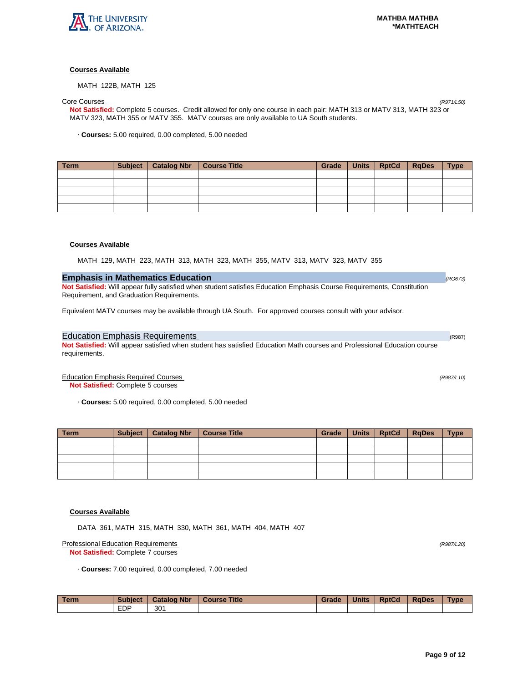

# **Courses Available**

MATH 122B, MATH 125

Core Courses (R971/L50) **Not Satisfied:** Complete 5 courses. Credit allowed for only one course in each pair: MATH 313 or MATV 313, MATH 323 or MATV 323, MATH 355 or MATV 355. MATV courses are only available to UA South students.

· **Courses:** 5.00 required, 0.00 completed, 5.00 needed

| Term | Subject   Catalog Nbr   Course Title | Grade | Units RptCd | RqDes | <b>Type</b> |
|------|--------------------------------------|-------|-------------|-------|-------------|
|      |                                      |       |             |       |             |
|      |                                      |       |             |       |             |
|      |                                      |       |             |       |             |
|      |                                      |       |             |       |             |
|      |                                      |       |             |       |             |

# **Courses Available**

MATH 129, MATH 223, MATH 313, MATH 323, MATH 355, MATV 313, MATV 323, MATV 355

# **Emphasis in Mathematics Education Contract Contract Contract Contract Contract Contract Contract Contract Contract Contract Contract Contract Contract Contract Contract Contract Contract Contract Contract Contract Cont**

**Not Satisfied:** Will appear fully satisfied when student satisfies Education Emphasis Course Requirements, Constitution Requirement, and Graduation Requirements.

Equivalent MATV courses may be available through UA South. For approved courses consult with your advisor.

# **Education Emphasis Requirements** (R987) **CONSIDERING INCORPORATION** (R987)

**Not Satisfied:** Will appear satisfied when student has satisfied Education Math courses and Professional Education course requirements.

Education Emphasis Required Courses (R987/L10)

**Not Satisfied:** Complete 5 courses

· **Courses:** 5.00 required, 0.00 completed, 5.00 needed

| <b>Term</b> | <b>Subject</b> | <b>Catalog Nbr</b> | Course Title | Grade | Units | RptCd | <b>RgDes</b> | <b>Type</b> |
|-------------|----------------|--------------------|--------------|-------|-------|-------|--------------|-------------|
|             |                |                    |              |       |       |       |              |             |
|             |                |                    |              |       |       |       |              |             |
|             |                |                    |              |       |       |       |              |             |
|             |                |                    |              |       |       |       |              |             |
|             |                |                    |              |       |       |       |              |             |

#### **Courses Available**

DATA 361, MATH 315, MATH 330, MATH 361, MATH 404, MATH 407

Professional Education Requirements **Example 2018** (R987/L20) **Not Satisfied:** Complete 7 courses

· **Courses:** 7.00 required, 0.00 completed, 7.00 needed

| <b>Term</b> | <b>Subject</b> | <b>Catalog Nbr</b> | <b>Title</b><br>Course | Grade | <b>Units</b> | <b>RptCd</b> | <b>RaDes</b> | Type |
|-------------|----------------|--------------------|------------------------|-------|--------------|--------------|--------------|------|
|             | EDP            | 301                |                        |       |              |              |              |      |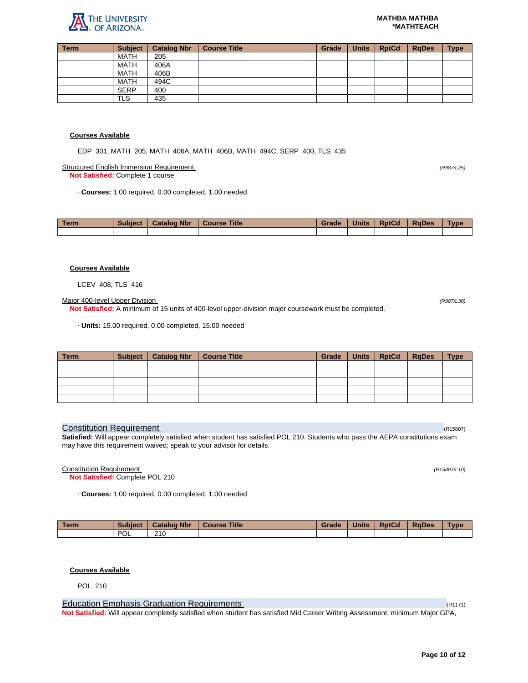

| <b>Term</b> | <b>Subject</b> | <b>Catalog Nbr</b> | <b>Course Title</b> | Grade | <b>Units</b> | <b>RptCd</b> | <b>R</b> qDes | <b>Type</b> |
|-------------|----------------|--------------------|---------------------|-------|--------------|--------------|---------------|-------------|
|             | <b>MATH</b>    | 205                |                     |       |              |              |               |             |
|             | <b>MATH</b>    | 406A               |                     |       |              |              |               |             |
|             | MATH           | 406B               |                     |       |              |              |               |             |
|             | <b>MATH</b>    | 494C               |                     |       |              |              |               |             |
|             | <b>SERP</b>    | 400                |                     |       |              |              |               |             |
|             | <b>TLS</b>     | 435                |                     |       |              |              |               |             |

# **Courses Available**

EDP 301, MATH 205, MATH 406A, MATH 406B, MATH 494C, SERP 400, TLS 435

Structured English Immersion Requirement (R987/L25)

**Not Satisfied:** Complete 1 course

· **Courses:** 1.00 required, 0.00 completed, 1.00 needed

| <b>Term</b> | <b>Subject</b> | <b>Catalog Nbr</b> | <b>Course Title</b> | Grade | <b>Units</b> | <b>RptCd</b> | <b>RaDes</b> | <b>Type</b> |
|-------------|----------------|--------------------|---------------------|-------|--------------|--------------|--------------|-------------|
|             |                |                    |                     |       |              |              |              |             |

#### **Courses Available**

LCEV 408, TLS 416

Major 400-level Upper Division (R987/L30)

**Not Satisfied:** A minimum of 15 units of 400-level upper-division major coursework must be completed.

· **Units:** 15.00 required, 0.00 completed, 15.00 needed

| <b>Term</b> | Subject   Catalog Nbr | Course Title | Grade | Units RptCd | <b>RgDes</b> | <b>Type</b> |
|-------------|-----------------------|--------------|-------|-------------|--------------|-------------|
|             |                       |              |       |             |              |             |
|             |                       |              |       |             |              |             |
|             |                       |              |       |             |              |             |
|             |                       |              |       |             |              |             |
|             |                       |              |       |             |              |             |

# Constitution Requirement (R15807)

**Satisfied:** Will appear completely satisfied when student has satisfied POL 210. Students who pass the AEPA constitutions exam may have this requirement waived; speak to your advisor for details.

# Constitution Requirement (R15807/L10)

**Not Satisfied:** Complete POL 210

· **Courses:** 1.00 required, 0.00 completed, 1.00 needed

| Term. | <b>Subject</b> | <b>Catalog Nbr</b> | <b>Course Title</b> | Grade | <b>Units</b> | <b>RptCd</b> | <b>RaDes</b> | <b>Type</b> |
|-------|----------------|--------------------|---------------------|-------|--------------|--------------|--------------|-------------|
|       | <b>POL</b>     | 210                |                     |       |              |              |              |             |

# **Courses Available**

POL 210

**Education Emphasis Graduation Requirements** (R1171) **CONVERTIGATION** (R1171)

**Not Satisfied:** Will appear completely satisfied when student has satisfied Mid Career Writing Assessment, minimum Major GPA,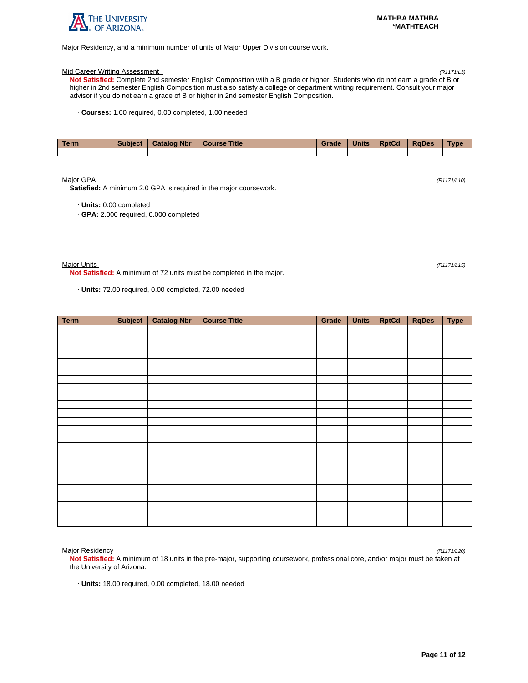

Major Residency, and a minimum number of units of Major Upper Division course work.

Mid Career Writing Assessment (R1171/L3)

**Not Satisfied:** Complete 2nd semester English Composition with a B grade or higher. Students who do not earn a grade of B or higher in 2nd semester English Composition must also satisfy a college or department writing requirement. Consult your major advisor if you do not earn a grade of B or higher in 2nd semester English Composition.

· **Courses:** 1.00 required, 0.00 completed, 1.00 needed

| Term | <b>Subject</b> | <b>Catalog Nbr</b> | <b>Course Title</b> | Grade | <b>Units</b> | <b>RptCd</b> | <b>RaDes</b> | <b>Type</b> |
|------|----------------|--------------------|---------------------|-------|--------------|--------------|--------------|-------------|
|      |                |                    |                     |       |              |              |              |             |

# Major GPA (R1171/L10)

**Satisfied:** A minimum 2.0 GPA is required in the major coursework.

· **Units:** 0.00 completed

· **GPA:** 2.000 required, 0.000 completed

Major Units (R1171/L15)

**Not Satisfied:** A minimum of 72 units must be completed in the major.

· **Units:** 72.00 required, 0.00 completed, 72.00 needed

| <b>Term</b> | <b>Subject</b> | <b>Catalog Nbr</b> | <b>Course Title</b> | Grade | <b>Units</b> | <b>RptCd</b> | <b>RqDes</b> | <b>Type</b> |
|-------------|----------------|--------------------|---------------------|-------|--------------|--------------|--------------|-------------|
|             |                |                    |                     |       |              |              |              |             |
|             |                |                    |                     |       |              |              |              |             |
|             |                |                    |                     |       |              |              |              |             |
|             |                |                    |                     |       |              |              |              |             |
|             |                |                    |                     |       |              |              |              |             |
|             |                |                    |                     |       |              |              |              |             |
|             |                |                    |                     |       |              |              |              |             |
|             |                |                    |                     |       |              |              |              |             |
|             |                |                    |                     |       |              |              |              |             |
|             |                |                    |                     |       |              |              |              |             |
|             |                |                    |                     |       |              |              |              |             |
|             |                |                    |                     |       |              |              |              |             |
|             |                |                    |                     |       |              |              |              |             |
|             |                |                    |                     |       |              |              |              |             |
|             |                |                    |                     |       |              |              |              |             |
|             |                |                    |                     |       |              |              |              |             |
|             |                |                    |                     |       |              |              |              |             |
|             |                |                    |                     |       |              |              |              |             |
|             |                |                    |                     |       |              |              |              |             |
|             |                |                    |                     |       |              |              |              |             |
|             |                |                    |                     |       |              |              |              |             |
|             |                |                    |                     |       |              |              |              |             |
|             |                |                    |                     |       |              |              |              |             |
|             |                |                    |                     |       |              |              |              |             |

Major Residency (R1171/L20)

**Not Satisfied:** A minimum of 18 units in the pre-major, supporting coursework, professional core, and/or major must be taken at the University of Arizona.

· **Units:** 18.00 required, 0.00 completed, 18.00 needed